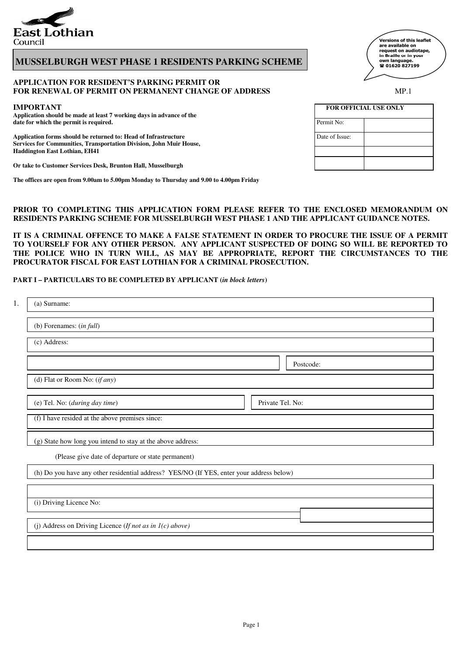

# **MUSSELBURGH WEST PHASE 1 RESIDENTS PARKING SCHEME**

#### **APPLICATION FOR RESIDENT'S PARKING PERMIT OR FOR RENEWAL OF PERMIT ON PERMANENT CHANGE OF ADDRESS** MP.1

#### **IMPORTANT**

**Application should be made at least 7 working days in advance of the**  date for which the permit is required.

Application forms should be returned to: Head of Infrastructure **Services for Communities, Transportation Division, John Muir House, Haddington East Lothian, EH41**

**Or take to Customer Services Desk, Brunton Hall, Musselburgh** 

**The offices are open from 9.00am to 5.00pm Monday to Thursday and 9.00 to 4.00pm Friday**

### **PRIOR TO COMPLETING THIS APPLICATION FORM PLEASE REFER TO THE ENCLOSED MEMORANDUM ON RESIDENTS PARKING SCHEME FOR MUSSELBURGH WEST PHASE 1 AND THE APPLICANT GUIDANCE NOTES.**

**IT IS A CRIMINAL OFFENCE TO MAKE A FALSE STATEMENT IN ORDER TO PROCURE THE ISSUE OF A PERMIT TO YOURSELF FOR ANY OTHER PERSON. ANY APPLICANT SUSPECTED OF DOING SO WILL BE REPORTED TO THE POLICE WHO IN TURN WILL, AS MAY BE APPROPRIATE, REPORT THE CIRCUMSTANCES TO THE PROCURATOR FISCAL FOR EAST LOTHIAN FOR A CRIMINAL PROSECUTION.**

#### **PART I – PARTICULARS TO BE COMPLETED BY APPLICANT (***in block letters***)**

| 1.                                              | (a) Surname:                                                                             |  |  |  |  |
|-------------------------------------------------|------------------------------------------------------------------------------------------|--|--|--|--|
|                                                 | (b) Forenames: (in full)                                                                 |  |  |  |  |
| (c) Address:                                    |                                                                                          |  |  |  |  |
|                                                 | Postcode:                                                                                |  |  |  |  |
|                                                 | (d) Flat or Room No: $(if any)$                                                          |  |  |  |  |
|                                                 | (e) Tel. No: (during day time)<br>Private Tel. No:                                       |  |  |  |  |
| (f) I have resided at the above premises since: |                                                                                          |  |  |  |  |
|                                                 | (g) State how long you intend to stay at the above address:                              |  |  |  |  |
|                                                 | (Please give date of departure or state permanent)                                       |  |  |  |  |
|                                                 | (h) Do you have any other residential address? YES/NO (If YES, enter your address below) |  |  |  |  |
|                                                 |                                                                                          |  |  |  |  |
|                                                 | (i) Driving Licence No:                                                                  |  |  |  |  |
|                                                 | (j) Address on Driving Licence (If not as in $I(c)$ above)                               |  |  |  |  |
|                                                 |                                                                                          |  |  |  |  |

\_<br>Versions of this leaflet are available on<br>request on audiotape, in Braille or in your own language.<br>☎ 01620 827199

| <b>FOR OFFICIAL USE ONLY</b> |  |  |  |  |
|------------------------------|--|--|--|--|
| Permit No:                   |  |  |  |  |
| Date of Issue:               |  |  |  |  |
|                              |  |  |  |  |
|                              |  |  |  |  |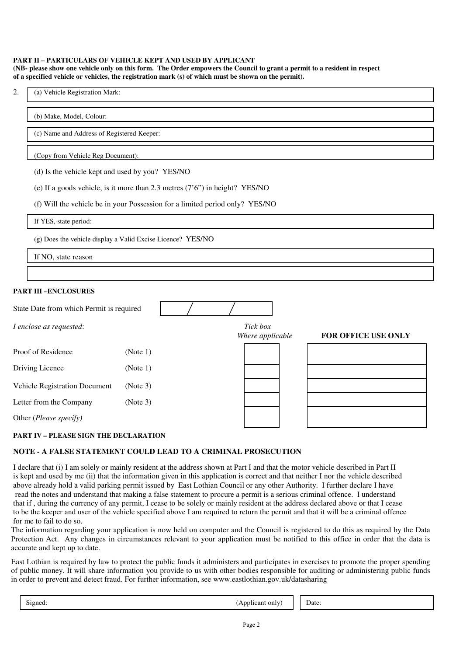#### **PART II – PARTICULARS OF VEHICLE KEPT AND USED BY APPLICANT (NB- please show one vehicle only on this form. The Order empowers the Council to grant a permit to a resident in respect of a specified vehicle or vehicles, the registration mark (s) of which must be shown on the permit).**

#### (b) Make, Model, Colour:

(c) Name and Address of Registered Keeper:

### (Copy from Vehicle Reg Document):

(d) Is the vehicle kept and used by you? YES/NO

|  | (e) If a goods vehicle, is it more than 2.3 metres $(7'6'')$ in height? YES/NO |  |  |  |
|--|--------------------------------------------------------------------------------|--|--|--|
|--|--------------------------------------------------------------------------------|--|--|--|

(f) Will the vehicle be in your Possession for a limited period only? YES/NO

If YES, state period:

(g) Does the vehicle display a Valid Excise Licence? YES/NO

If NO, state reason

### **PART III –ENCLOSURES**

| State Date from which Permit is required |                              |                     |  |
|------------------------------------------|------------------------------|---------------------|--|
| I enclose as requested:                  | Tick box<br>Where applicable | FOR OFFICE USE ONLY |  |
| Proof of Residence                       | (Note 1)                     |                     |  |
| Driving Licence                          | (Note 1)                     |                     |  |
| Vehicle Registration Document            | (Note 3)                     |                     |  |
| Letter from the Company                  | (Note 3)                     |                     |  |
| Other (Please specify)                   |                              |                     |  |

### **PART IV – PLEASE SIGN THE DECLARATION**

### **NOTE - A FALSE STATEMENT COULD LEAD TO A CRIMINAL PROSECUTION**

I declare that (i) I am solely or mainly resident at the address shown at Part I and that the motor vehicle described in Part II is kept and used by me (ii) that the information given in this application is correct and that neither I nor the vehicle described above already hold a valid parking permit issued by East Lothian Council or any other Authority. I further declare I have read the notes and understand that making a false statement to procure a permit is a serious criminal offence. I understand that if , during the currency of any permit, I cease to be solely or mainly resident at the address declared above or that I cease to be the keeper and user of the vehicle specified above I am required to return the permit and that it will be a criminal offence for me to fail to do so.

The information regarding your application is now held on computer and the Council is registered to do this as required by the Data Protection Act. Any changes in circumstances relevant to your application must be notified to this office in order that the data is accurate and kept up to date.

East Lothian is required by law to protect the public funds it administers and participates in exercises to promote the proper spending of public money. It will share information you provide to us with other bodies responsible for auditing or administering public funds in order to prevent and detect fraud. For further information, see www.eastlothian.gov.uk/datasharing

| $\sim$<br>,1gned:<br>$\sim$<br>only<br>can<br>т.<br>ັ | Jate: |
|-------------------------------------------------------|-------|
|-------------------------------------------------------|-------|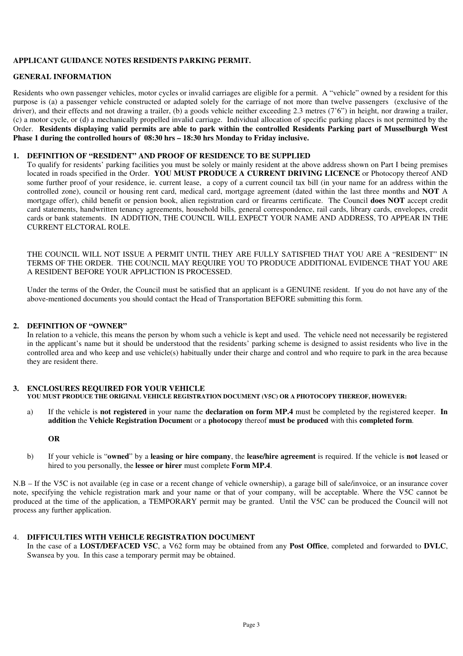## **APPLICANT GUIDANCE NOTES RESIDENTS PARKING PERMIT.**

### **GENERAL INFORMATION**

Residents who own passenger vehicles, motor cycles or invalid carriages are eligible for a permit. A "vehicle" owned by a resident for this purpose is (a) a passenger vehicle constructed or adapted solely for the carriage of not more than twelve passengers (exclusive of the driver), and their effects and not drawing a trailer, (b) a goods vehicle neither exceeding 2.3 metres (7'6") in height, nor drawing a trailer, (c) a motor cycle, or (d) a mechanically propelled invalid carriage. Individual allocation of specific parking places is not permitted by the Order. **Residents displaying valid permits are able to park within the controlled Residents Parking part of Musselburgh West Phase 1 during the controlled hours of 08:30 hrs – 18:30 hrs Monday to Friday inclusive.** 

#### **1. DEFINITION OF "RESIDENT" AND PROOF OF RESIDENCE TO BE SUPPLIED**

To qualify for residents' parking facilities you must be solely or mainly resident at the above address shown on Part I being premises located in roads specified in the Order. **YOU MUST PRODUCE A CURRENT DRIVING LICENCE** or Photocopy thereof AND some further proof of your residence, ie. current lease, a copy of a current council tax bill (in your name for an address within the controlled zone), council or housing rent card, medical card, mortgage agreement (dated within the last three months and **NOT** A mortgage offer), child benefit or pension book, alien registration card or firearms certificate. The Council **does NOT** accept credit card statements, handwritten tenancy agreements, household bills, general correspondence, rail cards, library cards, envelopes, credit cards or bank statements. IN ADDITION, THE COUNCIL WILL EXPECT YOUR NAME AND ADDRESS, TO APPEAR IN THE CURRENT ELCTORAL ROLE.

THE COUNCIL WILL NOT ISSUE A PERMIT UNTIL THEY ARE FULLY SATISFIED THAT YOU ARE A "RESIDENT" IN TERMS OF THE ORDER. THE COUNCIL MAY REQUIRE YOU TO PRODUCE ADDITIONAL EVIDENCE THAT YOU ARE A RESIDENT BEFORE YOUR APPLICTION IS PROCESSED.

Under the terms of the Order, the Council must be satisfied that an applicant is a GENUINE resident. If you do not have any of the above-mentioned documents you should contact the Head of Transportation BEFORE submitting this form.

### **2. DEFINITION OF "OWNER"**

In relation to a vehicle, this means the person by whom such a vehicle is kept and used. The vehicle need not necessarily be registered in the applicant's name but it should be understood that the residents' parking scheme is designed to assist residents who live in the controlled area and who keep and use vehicle(s) habitually under their charge and control and who require to park in the area because they are resident there.

#### **3. ENCLOSURES REQUIRED FOR YOUR VEHICLE YOU MUST PRODUCE THE ORIGINAL VEHICLE REGISTRATION DOCUMENT (V5C) OR A PHOTOCOPY THEREOF, HOWEVER:**

a) If the vehicle is **not registered** in your name the **declaration on form MP.4** must be completed by the registered keeper. **In addition** the **Vehicle Registration Documen**t or a **photocopy** thereof **must be produced** with this **completed form**.

### **OR**

b) If your vehicle is "**owned**" by a **leasing or hire company**, the **lease/hire agreement** is required. If the vehicle is **not** leased or hired to you personally, the **lessee or hirer** must complete **Form MP.4**.

N.B – If the V5C is not available (eg in case or a recent change of vehicle ownership), a garage bill of sale/invoice, or an insurance cover note, specifying the vehicle registration mark and your name or that of your company, will be acceptable. Where the V5C cannot be produced at the time of the application, a TEMPORARY permit may be granted. Until the V5C can be produced the Council will not process any further application.

#### 4. **DIFFICULTIES WITH VEHICLE REGISTRATION DOCUMENT**

In the case of a **LOST/DEFACED V5C**, a V62 form may be obtained from any **Post Office**, completed and forwarded to **DVLC**, Swansea by you. In this case a temporary permit may be obtained.